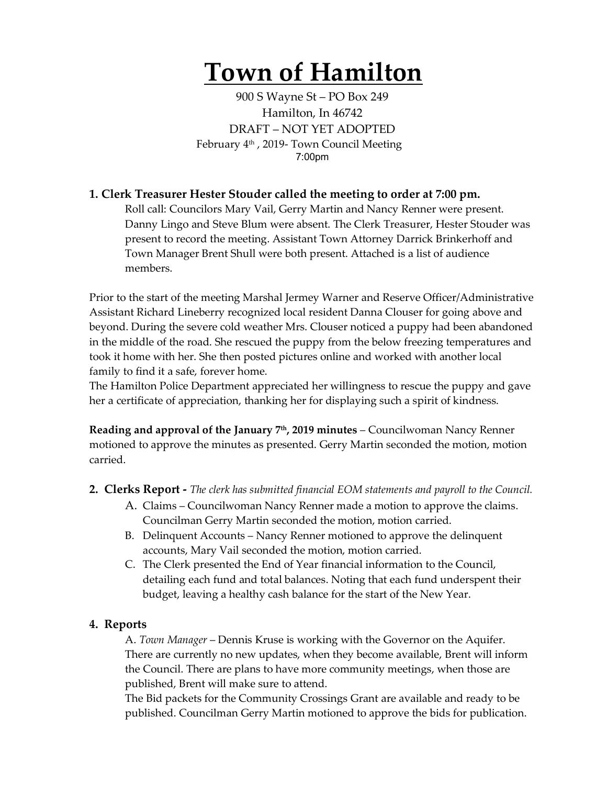# **Town of Hamilton**

900 S Wayne St – PO Box 249 Hamilton, In 46742 DRAFT – NOT YET ADOPTED February 4<sup>th</sup>, 2019- Town Council Meeting 7:00pm

## **1. Clerk Treasurer Hester Stouder called the meeting to order at 7:00 pm.**

Roll call: Councilors Mary Vail, Gerry Martin and Nancy Renner were present. Danny Lingo and Steve Blum were absent. The Clerk Treasurer, Hester Stouder was present to record the meeting. Assistant Town Attorney Darrick Brinkerhoff and Town Manager Brent Shull were both present. Attached is a list of audience members.

Prior to the start of the meeting Marshal Jermey Warner and Reserve Officer/Administrative Assistant Richard Lineberry recognized local resident Danna Clouser for going above and beyond. During the severe cold weather Mrs. Clouser noticed a puppy had been abandoned in the middle of the road. She rescued the puppy from the below freezing temperatures and took it home with her. She then posted pictures online and worked with another local family to find it a safe, forever home.

The Hamilton Police Department appreciated her willingness to rescue the puppy and gave her a certificate of appreciation, thanking her for displaying such a spirit of kindness.

**Reading and approval of the January 7th, 2019 minutes** – Councilwoman Nancy Renner motioned to approve the minutes as presented. Gerry Martin seconded the motion, motion carried.

- **2. Clerks Report -** *The clerk has submitted financial EOM statements and payroll to the Council.* 
	- A. Claims Councilwoman Nancy Renner made a motion to approve the claims. Councilman Gerry Martin seconded the motion, motion carried.
	- B. Delinquent Accounts Nancy Renner motioned to approve the delinquent accounts, Mary Vail seconded the motion, motion carried.
	- C. The Clerk presented the End of Year financial information to the Council, detailing each fund and total balances. Noting that each fund underspent their budget, leaving a healthy cash balance for the start of the New Year.

## **4. Reports**

A. *Town Manager* – Dennis Kruse is working with the Governor on the Aquifer. There are currently no new updates, when they become available, Brent will inform the Council. There are plans to have more community meetings, when those are published, Brent will make sure to attend.

The Bid packets for the Community Crossings Grant are available and ready to be published. Councilman Gerry Martin motioned to approve the bids for publication.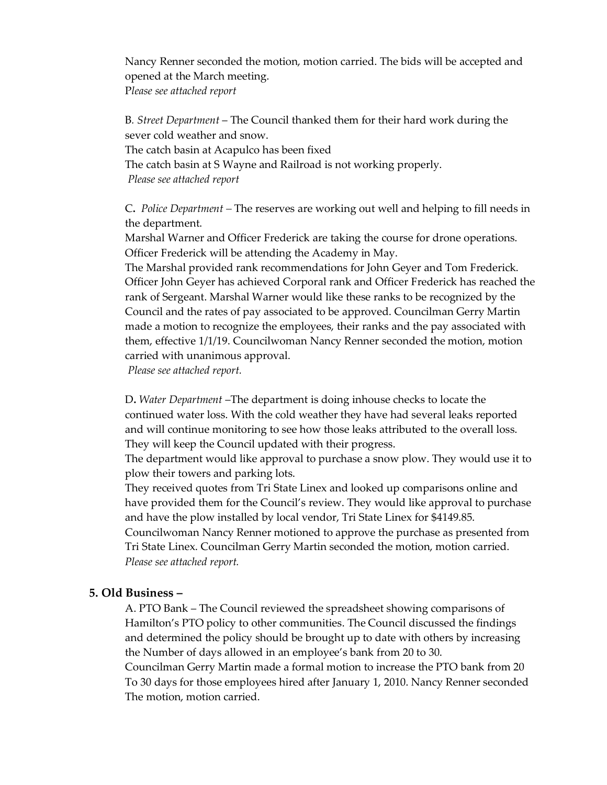Nancy Renner seconded the motion, motion carried. The bids will be accepted and opened at the March meeting. P*lease see attached report*

B*. Street Department* – The Council thanked them for their hard work during the sever cold weather and snow. The catch basin at Acapulco has been fixed The catch basin at S Wayne and Railroad is not working properly. *Please see attached report*

C**.** *Police Department –* The reserves are working out well and helping to fill needs in the department.

Marshal Warner and Officer Frederick are taking the course for drone operations. Officer Frederick will be attending the Academy in May.

The Marshal provided rank recommendations for John Geyer and Tom Frederick. Officer John Geyer has achieved Corporal rank and Officer Frederick has reached the rank of Sergeant. Marshal Warner would like these ranks to be recognized by the Council and the rates of pay associated to be approved. Councilman Gerry Martin made a motion to recognize the employees, their ranks and the pay associated with them, effective 1/1/19. Councilwoman Nancy Renner seconded the motion, motion carried with unanimous approval.

*Please see attached report.*

D**.** *Water Department* –The department is doing inhouse checks to locate the continued water loss. With the cold weather they have had several leaks reported and will continue monitoring to see how those leaks attributed to the overall loss. They will keep the Council updated with their progress.

The department would like approval to purchase a snow plow. They would use it to plow their towers and parking lots.

They received quotes from Tri State Linex and looked up comparisons online and have provided them for the Council's review. They would like approval to purchase and have the plow installed by local vendor, Tri State Linex for \$4149.85.

Councilwoman Nancy Renner motioned to approve the purchase as presented from Tri State Linex. Councilman Gerry Martin seconded the motion, motion carried. *Please see attached report.* 

#### **5. Old Business –**

A. PTO Bank – The Council reviewed the spreadsheet showing comparisons of Hamilton's PTO policy to other communities. The Council discussed the findings and determined the policy should be brought up to date with others by increasing the Number of days allowed in an employee's bank from 20 to 30.

Councilman Gerry Martin made a formal motion to increase the PTO bank from 20 To 30 days for those employees hired after January 1, 2010. Nancy Renner seconded The motion, motion carried.